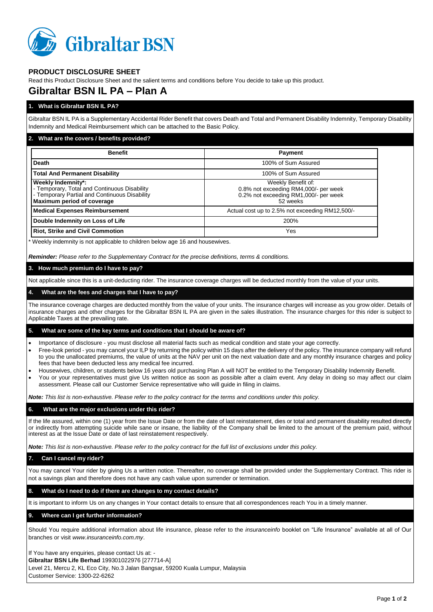

## **PRODUCT DISCLOSURE SHEET**

Read this Product Disclosure Sheet and the salient terms and conditions before You decide to take up this product.

# **Gibraltar BSN IL PA – Plan A**

## **1. What is Gibraltar BSN IL PA?**

Gibraltar BSN IL PA is a Supplementary Accidental Rider Benefit that covers Death and Total and Permanent Disability Indemnity, Temporary Disability Indemnity and Medical Reimbursement which can be attached to the Basic Policy.

### **2. What are the covers / benefits provided?**

| <b>Benefit</b>                                                                                                                                    | <b>Payment</b>                                                                                                   |
|---------------------------------------------------------------------------------------------------------------------------------------------------|------------------------------------------------------------------------------------------------------------------|
| Death                                                                                                                                             | 100% of Sum Assured                                                                                              |
| <b>Total And Permanent Disability</b>                                                                                                             | 100% of Sum Assured                                                                                              |
| Weekly Indemnity*:<br>- Temporary, Total and Continuous Disability<br>- Temporary Partial and Continuous Disability<br>Maximum period of coverage | Weekly Benefit of:<br>0.8% not exceeding RM4,000/- per week<br>0.2% not exceeding RM1,000/- per week<br>52 weeks |
| <b>Medical Expenses Reimbursement</b>                                                                                                             | Actual cost up to 2.5% not exceeding RM12,500/-                                                                  |
| Double Indemnity on Loss of Life                                                                                                                  | 200%                                                                                                             |
| <b>Riot, Strike and Civil Commotion</b>                                                                                                           | Yes                                                                                                              |

\* Weekly indemnity is not applicable to children below age 16 and housewives.

*Reminder: Please refer to the Supplementary Contract for the precise definitions, terms & conditions.*

#### **3. How much premium do I have to pay?**

Not applicable since this is a unit-deducting rider. The insurance coverage charges will be deducted monthly from the value of your units.

#### **4. What are the fees and charges that I have to pay?**

The insurance coverage charges are deducted monthly from the value of your units. The insurance charges will increase as you grow older. Details of insurance charges and other charges for the Gibraltar BSN IL PA are given in the sales illustration. The insurance charges for this rider is subject to Applicable Taxes at the prevailing rate.

#### **5. What are some of the key terms and conditions that I should be aware of?**

- Importance of disclosure you must disclose all material facts such as medical condition and state your age correctly.
- Free-look period you may cancel your ILP by returning the policy within 15 days after the delivery of the policy. The insurance company will refund to you the unallocated premiums, the value of units at the NAV per unit on the next valuation date and any monthly insurance charges and policy fees that have been deducted less any medical fee incurred.
- Housewives, children, or students below 16 years old purchasing Plan A will NOT be entitled to the Temporary Disability Indemnity Benefit.
- You or your representatives must give Us written notice as soon as possible after a claim event. Any delay in doing so may affect our claim assessment. Please call our Customer Service representative who will guide in filing in claims.

*Note: This list is non-exhaustive. Please refer to the policy contract for the terms and conditions under this policy.*

#### **6. What are the major exclusions under this rider?**

If the life assured, within one (1) year from the Issue Date or from the date of last reinstatement, dies or total and permanent disability resulted directly or indirectly from attempting suicide while sane or insane, the liability of the Company shall be limited to the amount of the premium paid, without interest as at the Issue Date or date of last reinstatement respectively.

*Note: This list is non-exhaustive. Please refer to the policy contract for the full list of exclusions under this policy.*

## **7. Can I cancel my rider?**

You may cancel Your rider by giving Us a written notice. Thereafter, no coverage shall be provided under the Supplementary Contract. This rider is not a savings plan and therefore does not have any cash value upon surrender or termination.

#### **8. What do I need to do if there are changes to my contact details?**

It is important to inform Us on any changes in Your contact details to ensure that all correspondences reach You in a timely manner.

## **9. Where can I get further information?**

Should You require additional information about life insurance, please refer to the *insuranceinfo* booklet on "Life Insurance" available at all of Our branches or visit *www.insuranceinfo.com.my*.

If You have any enquiries, please contact Us at: - **Gibraltar BSN Life Berhad** 199301022976 [277714-A] Level 21, Mercu 2, KL Eco City, No.3 Jalan Bangsar, 59200 Kuala Lumpur, Malaysia Customer Service: 1300-22-6262